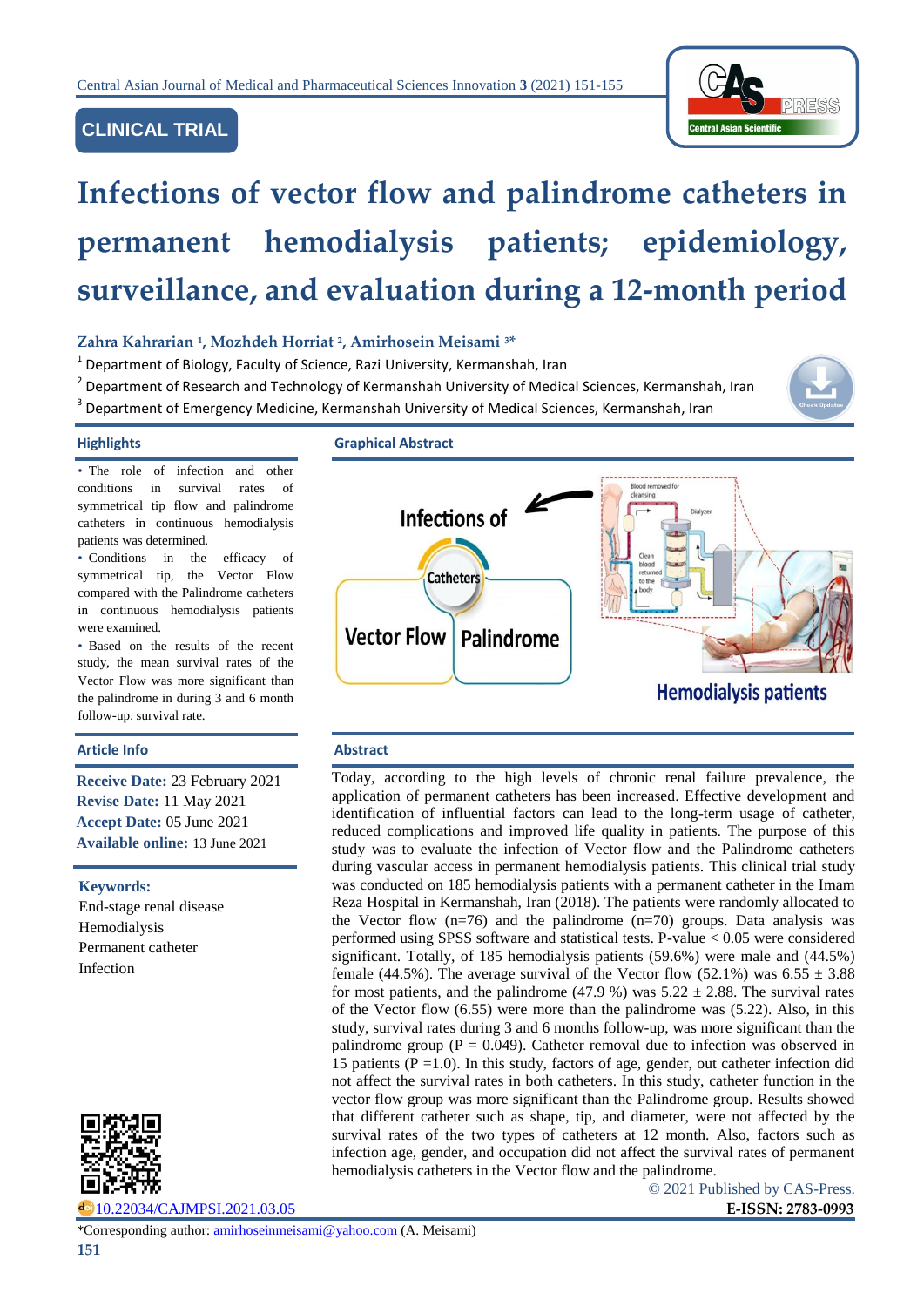# **CLINICAL TRIAL**



# **Infections of vector flow and palindrome catheters in permanent hemodialysis patients; epidemiology, surveillance, and evaluation during a 12-month period**

### **Zahra Kahrarian <sup>1</sup> , Mozhdeh Horriat <sup>2</sup> , Amirhosein Meisami <sup>3</sup>\***

- $^{1}$  Department of Biology, Faculty of Science, Razi University, Kermanshah, Iran
- <sup>2</sup> Department of Research and Technology of Kermanshah University of Medical Sciences, Kermanshah, Iran
- 3 Department of Emergency Medicine, Kermanshah University of Medical Sciences, Kermanshah, Iran



patients was determined.

follow-up. survival rate.

were examined.

**Keywords:** 

Hemodialysis Permanent catheter

Infection

End-stage renal disease

• The role of infection and other conditions in survival rates of symmetrical tip flow and palindrome catheters in continuous hemodialysis

• Conditions in the efficacy of symmetrical tip, the Vector Flow compared with the Palindrome catheters in continuous hemodialysis patients

• Based on the results of the recent study, the mean survival rates of the Vector Flow was more significant than the palindrome in during 3 and 6 month

**Receive Date:** 23 February 2021 **Revise Date:** 11 May 2021 **Accept Date:** 05 June 2021 **Available online:** 13 June 2021

**Highlights Graphical Abstract**



#### Article Info **Abstract**

Today, according to the high levels of chronic renal failure prevalence, the application of permanent catheters has been increased. Effective development and identification of influential factors can lead to the long-term usage of catheter, reduced complications and improved life quality in patients. The purpose of this study was to evaluate the infection of Vector flow and the Palindrome catheters during vascular access in permanent hemodialysis patients. This clinical trial study was conducted on 185 hemodialysis patients with a permanent catheter in the Imam Reza Hospital in Kermanshah, Iran (2018). The patients were randomly allocated to the Vector flow  $(n=76)$  and the palindrome  $(n=70)$  groups. Data analysis was performed using SPSS software and statistical tests. P-value < 0.05 were considered significant. Totally, of 185 hemodialysis patients (59.6%) were male and (44.5%) female (44.5%). The average survival of the Vector flow (52.1%) was 6.55  $\pm$  3.88 for most patients, and the palindrome (47.9 %) was  $5.22 \pm 2.88$ . The survival rates of the Vector flow (6.55) were more than the palindrome was (5.22). Also, in this study, survival rates during 3 and 6 months follow-up, was more significant than the palindrome group ( $P = 0.049$ ). Catheter removal due to infection was observed in 15 patients ( $P = 1.0$ ). In this study, factors of age, gender, out catheter infection did not affect the survival rates in both catheters. In this study, catheter function in the vector flow group was more significant than the Palindrome group. Results showed that different catheter such as shape, tip, and diameter, were not affected by the survival rates of the two types of catheters at 12 month. Also, factors such as infection age, gender, and occupation did not affect the survival rates of permanent hemodialysis catheters in the Vector flow and the palindrome.

© 2021 Published by CAS-Press.



[10.22034/CAJMPSI.2021.03.05](http://www.cajmpsi.com/article_132198.html) **E-ISSN: 2783-0993**

\*Corresponding author: [amirhoseinmeisami@yahoo.com](mailto:amirhoseinmeisami@yahoo.com) (A. Meisami)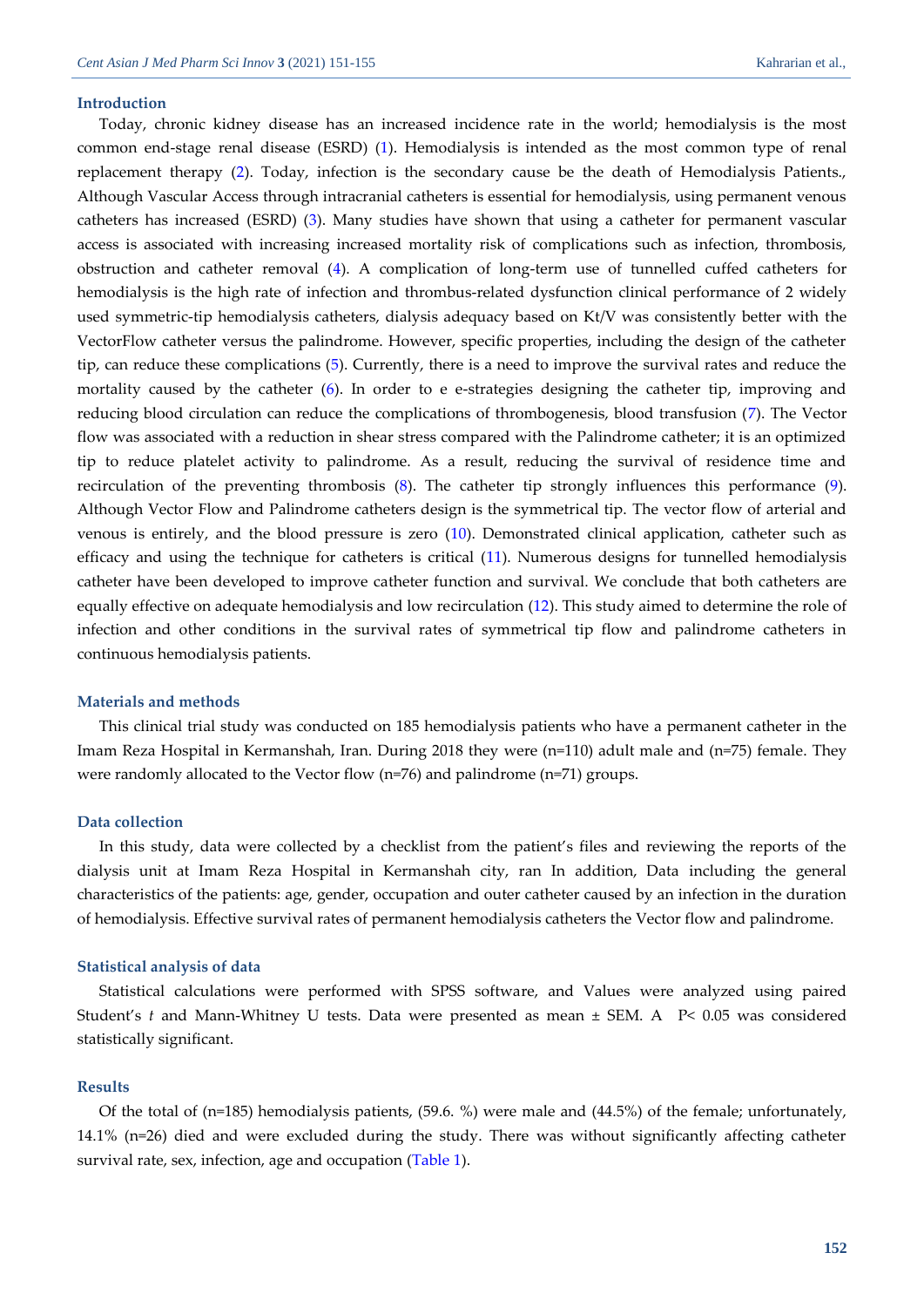#### **Introduction**

Today, chronic kidney disease has an increased incidence rate in the world; hemodialysis is the most common end-stage renal disease (ESRD) [\(1\)](#page-3-0). Hemodialysis is intended as the most common type of renal replacement therapy [\(2\)](#page-3-1). Today, infection is the secondary cause be the death of Hemodialysis Patients., Although Vascular Access through intracranial catheters is essential for hemodialysis, using permanent venous catheters has increased (ESRD) [\(3\)](#page-3-2). Many studies have shown that using a catheter for permanent vascular access is associated with increasing increased mortality risk of complications such as infection, thrombosis, obstruction and catheter removal [\(4\)](#page-3-3). A complication of long-term use of tunnelled cuffed catheters for hemodialysis is the high rate of infection and thrombus-related dysfunction clinical performance of 2 widely used symmetric-tip hemodialysis catheters, dialysis adequacy based on Kt/V was consistently better with the VectorFlow catheter versus the palindrome. However, specific properties, including the design of the catheter tip, can reduce these complications [\(5\)](#page-3-4). Currently, there is a need to improve the survival rates and reduce the mortality caused by the catheter [\(6\)](#page-3-5). In order to e e-strategies designing the catheter tip, improving and reducing blood circulation can reduce the complications of thrombogenesis, blood transfusion [\(7\)](#page-3-6). The Vector flow was associated with a reduction in shear stress compared with the Palindrome catheter; it is an optimized tip to reduce platelet activity to palindrome. As a result, reducing the survival of residence time and recirculation of the preventing thrombosis [\(8\)](#page-3-7). The catheter tip strongly influences this performance [\(9\)](#page-3-8). Although Vector Flow and Palindrome catheters design is the symmetrical tip. The vector flow of arterial and venous is entirely, and the blood pressure is zero [\(10\)](#page-3-9). Demonstrated clinical application, catheter such as efficacy and using the technique for catheters is critical [\(11\)](#page-3-10). Numerous designs for tunnelled hemodialysis catheter have been developed to improve catheter function and survival. We conclude that both catheters are equally effective on adequate hemodialysis and low recirculation [\(12\)](#page-3-11). This study aimed to determine the role of infection and other conditions in the survival rates of symmetrical tip flow and palindrome catheters in continuous hemodialysis patients.

#### **Materials and methods**

This clinical trial study was conducted on 185 hemodialysis patients who have a permanent catheter in the Imam Reza Hospital in Kermanshah, Iran. During 2018 they were (n=110) adult male and (n=75) female. They were randomly allocated to the Vector flow (n=76) and palindrome (n=71) groups.

#### **Data collection**

In this study, data were collected by a checklist from the patient's files and reviewing the reports of the dialysis unit at Imam Reza Hospital in Kermanshah city, ran In addition, Data including the general characteristics of the patients: age, gender, occupation and outer catheter caused by an infection in the duration of hemodialysis. Effective survival rates of permanent hemodialysis catheters the Vector flow and palindrome.

#### **Statistical analysis of data**

Statistical calculations were performed with SPSS software, and Values were analyzed using paired Student's *t* and Mann-Whitney U tests. Data were presented as mean ± SEM. A P< 0.05 was considered statistically significant.

#### **Results**

Of the total of (n=185) hemodialysis patients, (59.6. %) were male and (44.5%) of the female; unfortunately, 14.1% (n=26) died and were excluded during the study. There was without significantly affecting catheter survival rate, sex, infection, age and occupation [\(Table 1\)](#page-2-0).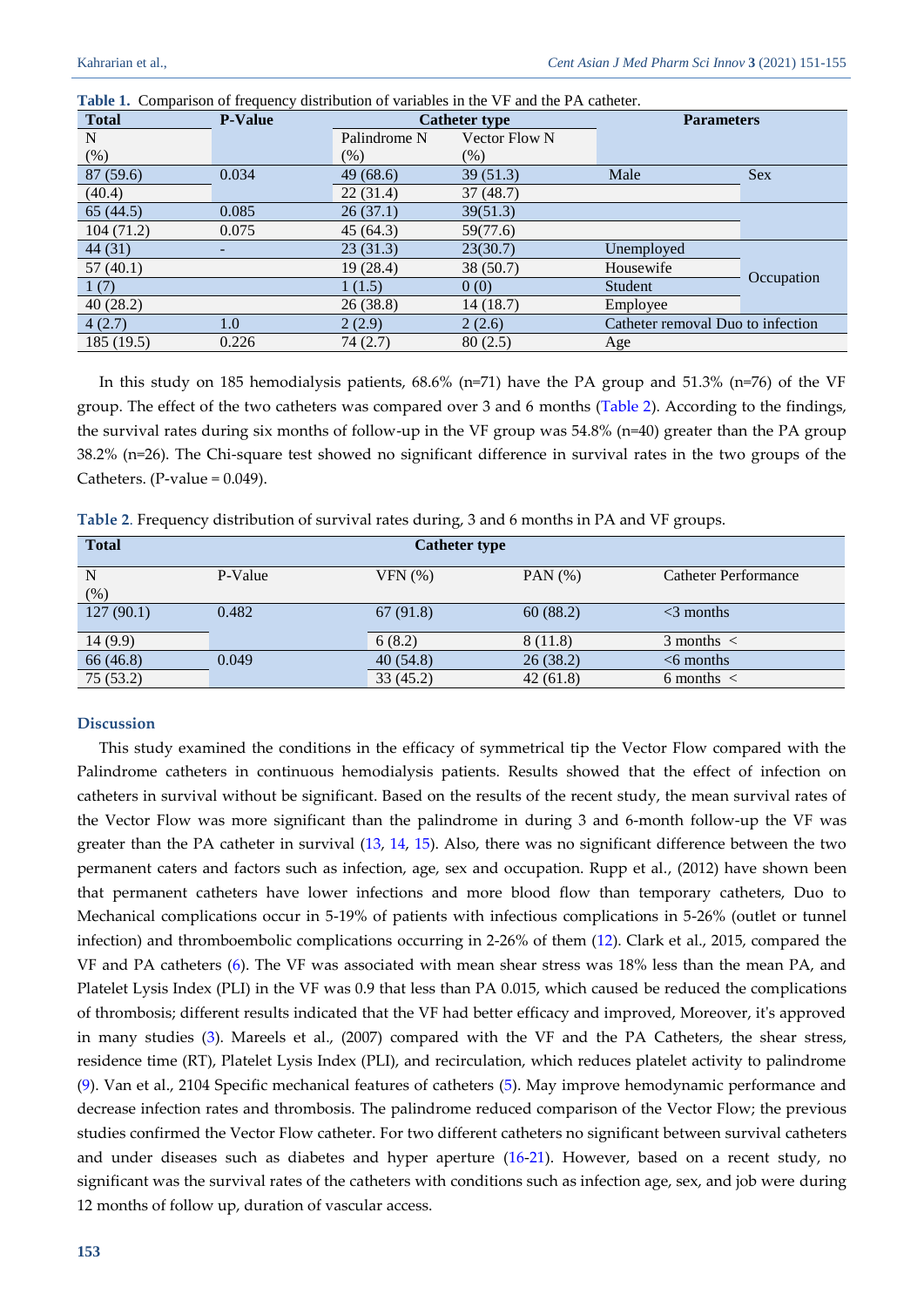| <b>Total</b> | <b>P-Value</b> | <b>Catheter type</b> |                      | <b>Parameters</b>                 |            |
|--------------|----------------|----------------------|----------------------|-----------------------------------|------------|
| N            |                | Palindrome N         | <b>Vector Flow N</b> |                                   |            |
| (% )         |                | (% )                 | $(\%)$               |                                   |            |
| 87 (59.6)    | 0.034          | 49(68.6)             | 39(51.3)             | Male                              | <b>Sex</b> |
| (40.4)       |                | 22(31.4)             | 37(48.7)             |                                   |            |
| 65(44.5)     | 0.085          | 26(37.1)             | 39(51.3)             |                                   |            |
| 104(71.2)    | 0.075          | 45 (64.3)            | 59(77.6)             |                                   |            |
| 44 (31)      |                | 23(31.3)             | 23(30.7)             | Unemployed                        |            |
| 57(40.1)     |                | 19 (28.4)            | 38(50.7)             | Housewife                         |            |
| 1(7)         |                | 1(1.5)               | 0(0)                 | Student                           | Occupation |
| 40(28.2)     |                | 26(38.8)             | 14(18.7)             | Employee                          |            |
| 4(2.7)       | 1.0            | 2(2.9)               | 2(2.6)               | Catheter removal Duo to infection |            |
| 185 (19.5)   | 0.226          | 74(2.7)              | 80(2.5)              | Age                               |            |

<span id="page-2-0"></span>**Table 1.** Comparison of frequency distribution of variables in the VF and the PA catheter.

In this study on 185 hemodialysis patients, 68.6% (n=71) have the PA group and 51.3% (n=76) of the VF group. The effect of the two catheters was compared over 3 and 6 months [\(Table 2\)](#page-2-1). According to the findings, the survival rates during six months of follow-up in the VF group was 54.8% (n=40) greater than the PA group 38.2% (n=26). The Chi-square test showed no significant difference in survival rates in the two groups of the Catheters. (P-value  $= 0.049$ ).

<span id="page-2-1"></span>**Table 2**. Frequency distribution of survival rates during, 3 and 6 months in PA and VF groups.

| <b>Total</b> | <b>Catheter type</b> |          |           |                             |  |  |  |
|--------------|----------------------|----------|-----------|-----------------------------|--|--|--|
| N            | P-Value              | VFN(%)   | PAN $(%)$ | <b>Catheter Performance</b> |  |  |  |
| $(\%)$       |                      |          |           |                             |  |  |  |
| 127(90.1)    | 0.482                | 67(91.8) | 60(88.2)  | $<$ 3 months                |  |  |  |
|              |                      |          |           |                             |  |  |  |
| 14 (9.9)     |                      | 6(8.2)   | 8 (11.8)  | $3$ months $\lt$            |  |  |  |
| 66 (46.8)    | 0.049                | 40(54.8) | 26(38.2)  | $<$ 6 months                |  |  |  |
| 75(53.2)     |                      | 33(45.2) | 42(61.8)  | 6 months $\lt$              |  |  |  |

#### **Discussion**

This study examined the conditions in the efficacy of symmetrical tip the Vector Flow compared with the Palindrome catheters in continuous hemodialysis patients. Results showed that the effect of infection on catheters in survival without be significant. Based on the results of the recent study, the mean survival rates of the Vector Flow was more significant than the palindrome in during 3 and 6-month follow-up the VF was greater than the PA catheter in survival [\(13,](#page-3-12) [14,](#page-4-0) [15\)](#page-4-1). Also, there was no significant difference between the two permanent caters and factors such as infection, age, sex and occupation. Rupp et al., (2012) have shown been that permanent catheters have lower infections and more blood flow than temporary catheters, Duo to Mechanical complications occur in 5-19% of patients with infectious complications in 5-26% (outlet or tunnel infection) and thromboembolic complications occurring in 2-26% of them [\(12\)](#page-3-11). Clark et al., 2015, compared the VF and PA catheters [\(6\)](#page-3-5). The VF was associated with mean shear stress was 18% less than the mean PA, and Platelet Lysis Index (PLI) in the VF was 0.9 that less than PA 0.015, which caused be reduced the complications of thrombosis; different results indicated that the VF had better efficacy and improved, Moreover, it's approved in many studies [\(3\)](#page-3-2). Mareels et al., (2007) compared with the VF and the PA Catheters, the shear stress, residence time (RT), Platelet Lysis Index (PLI), and recirculation, which reduces platelet activity to palindrome [\(9\)](#page-3-8). Van et al., 2104 Specific mechanical features of catheters [\(5\)](#page-3-4). May improve hemodynamic performance and decrease infection rates and thrombosis. The palindrome reduced comparison of the Vector Flow; the previous studies confirmed the Vector Flow catheter. For two different catheters no significant between survival catheters and under diseases such as diabetes and hyper aperture [\(16](#page-4-2)[-21\)](#page-4-3). However, based on a recent study, no significant was the survival rates of the catheters with conditions such as infection age, sex, and job were during 12 months of follow up, duration of vascular access.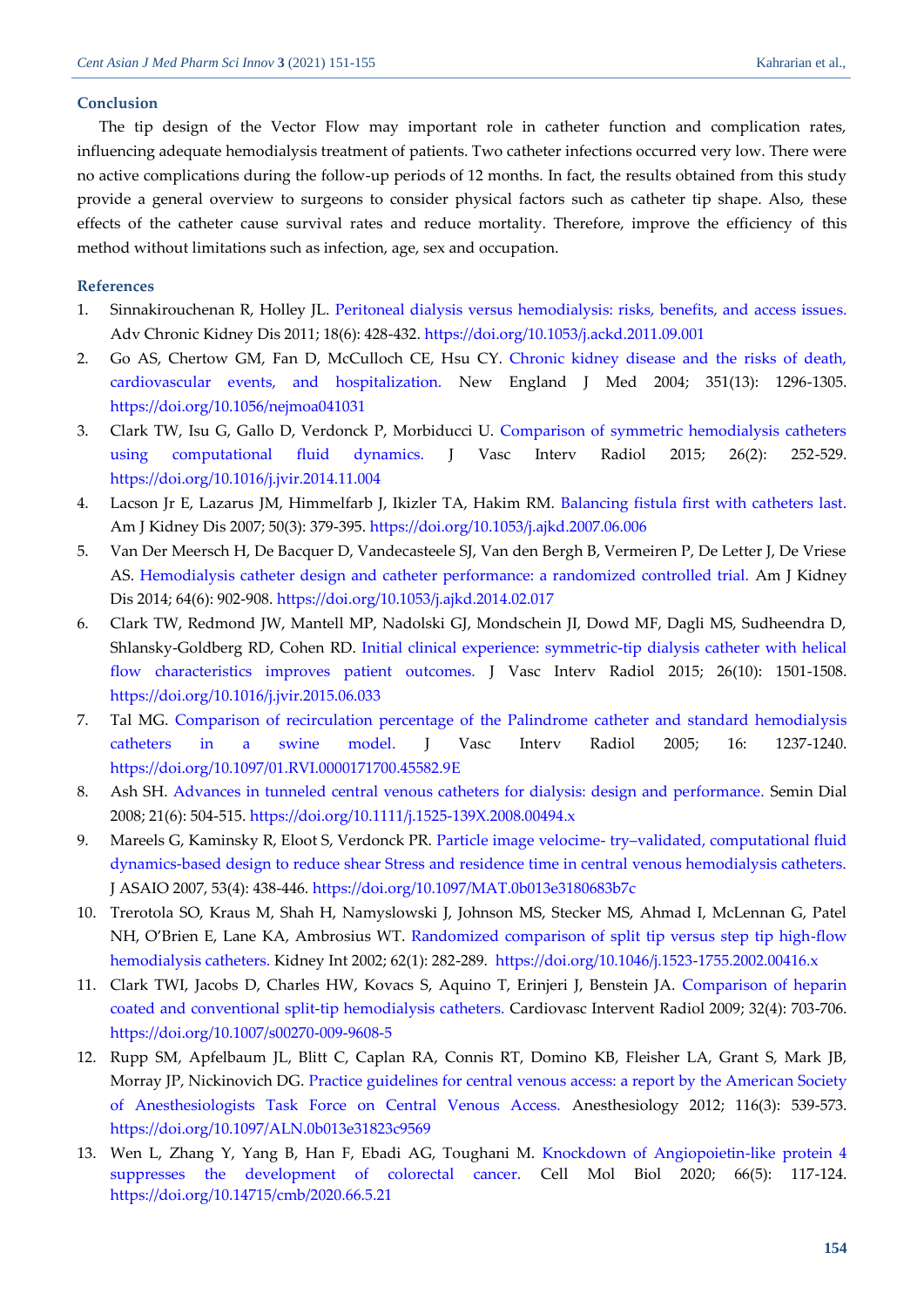#### **Conclusion**

The tip design of the Vector Flow may important role in catheter function and complication rates, influencing adequate hemodialysis treatment of patients. Two catheter infections occurred very low. There were no active complications during the follow-up periods of 12 months. In fact, the results obtained from this study provide a general overview to surgeons to consider physical factors such as catheter tip shape. Also, these effects of the catheter cause survival rates and reduce mortality. Therefore, improve the efficiency of this method without limitations such as infection, age, sex and occupation.

### **References**

- <span id="page-3-0"></span>1. Sinnakirouchenan R, Holley JL. [Peritoneal dialysis versus hemodialysis: risks, benefits, and access issues.](https://www.sciencedirect.com/science/article/pii/S1548559511001339?casa_token=u79KVPvPeoMAAAAA:O2XHpfNO1ZExrkFZU6hAr3sIMmGtvQaZ1yInR71CsU7fjRq_VfOW8CF1y-3VgGdpVSZax9g) Adv Chronic Kidney Dis 2011; 18(6): 428-432. <https://doi.org/10.1053/j.ackd.2011.09.001>
- <span id="page-3-1"></span>2. Go AS, Chertow GM, Fan D, McCulloch CE, Hsu CY. [Chronic kidney disease and the risks of death,](http://troca.tbzmed.ac.ir/uploads/82/CMS/user/file/145/postgraduate/Chronic%20Kidney%20Disease%20and%20the%20Risks%20of%20Death.pdf)  [cardiovascular events, and hospitalization.](http://troca.tbzmed.ac.ir/uploads/82/CMS/user/file/145/postgraduate/Chronic%20Kidney%20Disease%20and%20the%20Risks%20of%20Death.pdf) New England J Med 2004; 351(13): 1296-1305. <https://doi.org/10.1056/nejmoa041031>
- <span id="page-3-2"></span>3. Clark TW, Isu G, Gallo D, Verdonck P, Morbiducci U. [Comparison of symmetric hemodialysis catheters](https://www.researchgate.net/profile/Umberto-Morbiducci/publication/272084066_Comparison_of_Symmetric_Hemodialysis_Catheters_Using_Computational_Fluid_Dynamics/links/54db6ed60cf261ce15d02306/Comparison-of-Symmetric-Hemodialysis-Catheters-Using-Computational-Fluid-Dynamics.pdf)  [using computational fluid dynamics.](https://www.researchgate.net/profile/Umberto-Morbiducci/publication/272084066_Comparison_of_Symmetric_Hemodialysis_Catheters_Using_Computational_Fluid_Dynamics/links/54db6ed60cf261ce15d02306/Comparison-of-Symmetric-Hemodialysis-Catheters-Using-Computational-Fluid-Dynamics.pdf) J Vasc Interv Radiol 2015; 26(2): 252-529. <https://doi.org/10.1016/j.jvir.2014.11.004>
- <span id="page-3-3"></span>4. Lacson Jr E, Lazarus JM, Himmelfarb J, Ikizler TA, Hakim RM. [Balancing fistula first with catheters last.](https://d1wqtxts1xzle7.cloudfront.net/46952277/Balancing_Fistula_First_With_Catheters_L20160702-30122-1umhokq.pdf?1467455948=&response-content-disposition=inline%3B+filename%3DBalancing_Fistula_First_With_Catheters_L.pdf&Expires=1621862434&Signature=WbBXgDt~UyDxsBLHjV4RGrDoViOLSu7JerorfM3G7hy9KH9U1fk0y3c9njh8DprJZrMcNhdHJI7eHowYqML0ej8f265lKAgGDdk295OUdsu15CP~mQPOzmkH1I58oWJbWai05TSsgoRGPwTi~wEu5GXTRHeRMifqN-bnHxHiP2YQNu669l46lXu3uoFIKH94cuP~O5tFuAqbpnvVY-ZXT7cnUcUraL-st0wPLFAgVb4t6Htw2kBMJ8dyDCv0AkmBtXGBZQxWmNwMCppPYuutszicPLz9xGcwmt5FIcRXaIWEE0l6~peAgTfk9B--TX7InbY3IGnudM9ooKOM9yU3tg__&Key-Pair-Id=APKAJLOHF5GGSLRBV4ZA) Am J Kidney Dis 2007; 50(3): 379-395. <https://doi.org/10.1053/j.ajkd.2007.06.006>
- <span id="page-3-4"></span>5. Van Der Meersch H, De Bacquer D, Vandecasteele SJ, Van den Bergh B, Vermeiren P, De Letter J, De Vriese AS. [Hemodialysis catheter design and catheter performance: a randomized controlled trial.](https://libstore.ugent.be/fulltxt/RUG01/002/214/737/RUG01-002214737_2015_0001_AC.pdf) Am J Kidney Dis 2014; 64(6): 902-908. <https://doi.org/10.1053/j.ajkd.2014.02.017>
- <span id="page-3-5"></span>6. Clark TW, Redmond JW, Mantell MP, Nadolski GJ, Mondschein JI, Dowd MF, Dagli MS, Sudheendra D, Shlansky-Goldberg RD, Cohen RD. [Initial clinical experience: symmetric-tip dialysis catheter with helical](https://www.sciencedirect.com/science/article/pii/S105104431500648X)  [flow characteristics improves patient outcomes.](https://www.sciencedirect.com/science/article/pii/S105104431500648X) J Vasc Interv Radiol 2015; 26(10): 1501-1508. <https://doi.org/10.1016/j.jvir.2015.06.033>
- <span id="page-3-6"></span>7. Tal MG. [Comparison of recirculation percentage of the Palindrome catheter and standard hemodialysis](https://www.sciencedirect.com/science/article/pii/S1051044307607246)  [catheters in a swine model.](https://www.sciencedirect.com/science/article/pii/S1051044307607246) J Vasc Interv Radiol 2005; 16: 1237-1240. <https://doi.org/10.1097/01.RVI.0000171700.45582.9E>
- <span id="page-3-7"></span>8. Ash SH. [Advances in tunneled central venous catheters for dialysis: design and performance.](https://onlinelibrary.wiley.com/doi/pdf/10.1111/j.1525-139X.2008.00494.x) Semin Dial 2008; 21(6): 504-515. <https://doi.org/10.1111/j.1525-139X.2008.00494.x>
- <span id="page-3-8"></span>9. Mareels G, Kaminsky R, Eloot S, Verdonck PR. Particle image velocime- try–[validated, computational fluid](https://biblio.ugent.be/publication/426440)  [dynamics-based design to reduce shear Stress and residence time in central venous hemodialysis catheters.](https://biblio.ugent.be/publication/426440) J ASAIO 2007, 53(4): 438-446. <https://doi.org/10.1097/MAT.0b013e3180683b7c>
- <span id="page-3-9"></span>10. Trerotola SO, Kraus M, Shah H, Namyslowski J, Johnson MS, Stecker MS, Ahmad I, McLennan G, Patel NH, O'Brien E, Lane KA, Ambrosius WT. [Randomized comparison of split tip versus step tip high-flow](https://d1wqtxts1xzle7.cloudfront.net/49773919/Randomized_comparison_of_split_tip_versu20161021-1303-18wnpe4.pdf?1477090712=&response-content-disposition=inline%3B+filename%3DRandomized_comparison_of_split_tip_versu.pdf&Expires=1621863554&Signature=OGnR5VW2tTwHHntb6roKAL5DWet~JokEiz0E-6ABdk8FG1dwpq2r4RReuP0w4nBJlxAxq2wF1hKY7IA567mTIXs7JkSGhEVRfTkQkafzyOUX8PJ6l56FiSZmnNmFdWFKc2pC~x9lHqtN5P0BRKT8WMzmxBDReXDhoDI3slUHDj2mS1FyBCxvAymxF-OjIDKh0qfdsLzEx~I7MRyfSONKeQfKVBA1ZKxS4x8AKEE99zRHOqhLftnXyTcXEiYhiTY8lTGQx5z46FepXhc8BmWSW4-LrMNa5woI7-mG~FhqD8qW0k7QGxoEX1xPaW5n~qB0ucmUYhqF56GHCwQVpLF4Bg__&Key-Pair-Id=APKAJLOHF5GGSLRBV4ZA)  [hemodialysis catheters.](https://d1wqtxts1xzle7.cloudfront.net/49773919/Randomized_comparison_of_split_tip_versu20161021-1303-18wnpe4.pdf?1477090712=&response-content-disposition=inline%3B+filename%3DRandomized_comparison_of_split_tip_versu.pdf&Expires=1621863554&Signature=OGnR5VW2tTwHHntb6roKAL5DWet~JokEiz0E-6ABdk8FG1dwpq2r4RReuP0w4nBJlxAxq2wF1hKY7IA567mTIXs7JkSGhEVRfTkQkafzyOUX8PJ6l56FiSZmnNmFdWFKc2pC~x9lHqtN5P0BRKT8WMzmxBDReXDhoDI3slUHDj2mS1FyBCxvAymxF-OjIDKh0qfdsLzEx~I7MRyfSONKeQfKVBA1ZKxS4x8AKEE99zRHOqhLftnXyTcXEiYhiTY8lTGQx5z46FepXhc8BmWSW4-LrMNa5woI7-mG~FhqD8qW0k7QGxoEX1xPaW5n~qB0ucmUYhqF56GHCwQVpLF4Bg__&Key-Pair-Id=APKAJLOHF5GGSLRBV4ZA) Kidney Int 2002; 62(1): 282-289. <https://doi.org/10.1046/j.1523-1755.2002.00416.x>
- <span id="page-3-10"></span>11. Clark TWI, Jacobs D, Charles HW, Kovacs S, Aquino T, Erinjeri J, Benstein JA. [Comparison of heparin](https://link.springer.com/article/10.1007%2Fs00270-009-9608-5#citeas)  [coated and conventional split-tip hemodialysis catheters.](https://link.springer.com/article/10.1007%2Fs00270-009-9608-5#citeas) Cardiovasc Intervent Radiol 2009; 32(4): 703-706. <https://doi.org/10.1007/s00270-009-9608-5>
- <span id="page-3-11"></span>12. Rupp SM, Apfelbaum JL, Blitt C, Caplan RA, Connis RT, Domino KB, Fleisher LA, Grant S, Mark JB, Morray JP, Nickinovich DG. [Practice guidelines for central venous access: a report by the American Society](https://pubs.asahq.org/anesthesiology/article/116/3/539/12984/Practice-Guidelines-for-Central-Venous-AccessA)  [of Anesthesiologists Task Force on Central Venous Access.](https://pubs.asahq.org/anesthesiology/article/116/3/539/12984/Practice-Guidelines-for-Central-Venous-AccessA) Anesthesiology 2012; 116(3): 539-573. <https://doi.org/10.1097/ALN.0b013e31823c9569>
- <span id="page-3-12"></span>13. Wen L, Zhang Y, Yang B, Han F, Ebadi AG, Toughani M. [Knockdown of Angiopoietin-like protein 4](https://cellmolbiol.org/index.php/CMB/article/download/3598/1682)  [suppresses the development of colorectal cancer.](https://cellmolbiol.org/index.php/CMB/article/download/3598/1682) Cell Mol Biol 2020; 66(5): 117-124. <https://doi.org/10.14715/cmb/2020.66.5.21>